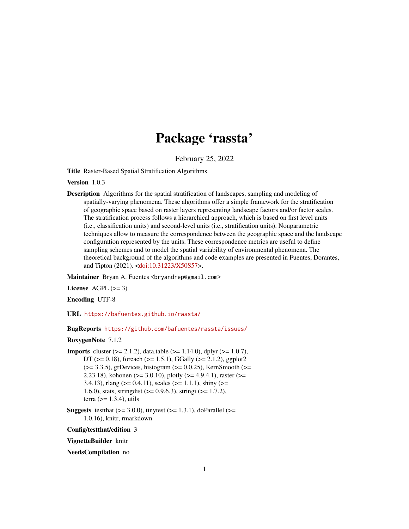# Package 'rassta'

February 25, 2022

<span id="page-0-0"></span>Title Raster-Based Spatial Stratification Algorithms

Version 1.0.3

Description Algorithms for the spatial stratification of landscapes, sampling and modeling of spatially-varying phenomena. These algorithms offer a simple framework for the stratification of geographic space based on raster layers representing landscape factors and/or factor scales. The stratification process follows a hierarchical approach, which is based on first level units (i.e., classification units) and second-level units (i.e., stratification units). Nonparametric techniques allow to measure the correspondence between the geographic space and the landscape configuration represented by the units. These correspondence metrics are useful to define sampling schemes and to model the spatial variability of environmental phenomena. The theoretical background of the algorithms and code examples are presented in Fuentes, Dorantes, and Tipton (2021). [<doi:10.31223/X50S57>](https://doi.org/10.31223/X50S57).

Maintainer Bryan A. Fuentes <br yandrep@gmail.com>

License AGPL  $(>= 3)$ 

Encoding UTF-8

URL <https://bafuentes.github.io/rassta/>

BugReports <https://github.com/bafuentes/rassta/issues/>

#### RoxygenNote 7.1.2

- **Imports** cluster  $(>= 2.1.2)$ , data.table  $(>= 1.14.0)$ , dplyr  $(>= 1.0.7)$ , DT ( $>= 0.18$ ), foreach ( $>= 1.5.1$ ), GGally ( $>= 2.1.2$ ), ggplot2  $(>= 3.3.5)$ , grDevices, histogram  $(>= 0.0.25)$ , KernSmooth  $(>= 1.5.5)$ 2.23.18), kohonen ( $>=$  3.0.10), plotly ( $>=$  4.9.4.1), raster ( $>=$ 3.4.13), rlang ( $>= 0.4.11$ ), scales ( $>= 1.1.1$ ), shiny ( $>= 1.1.1$ ) 1.6.0), stats, stringdist  $(>= 0.9.6.3)$ , stringi  $(>= 1.7.2)$ , terra  $(>= 1.3.4)$ , utils
- **Suggests** test that  $(>= 3.0.0)$ , tinytest  $(>= 1.3.1)$ , do Parallel  $(>= 1.3.1)$ 1.0.16), knitr, rmarkdown

Config/testthat/edition 3

VignetteBuilder knitr

NeedsCompilation no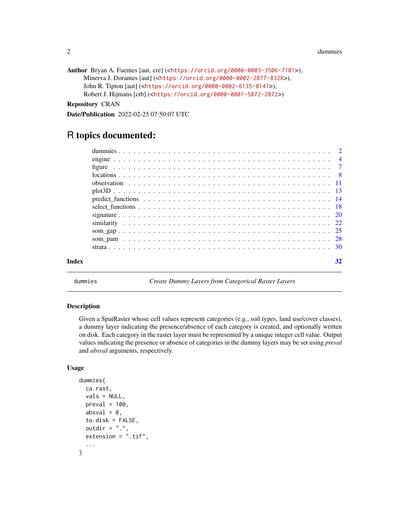```
2 dummies
```

```
Author Bryan A. Fuentes [aut, cre] (<https://orcid.org/0000-0003-3506-7101>),
     Minerva J. Dorantes [aut] (<https://orcid.org/0000-0002-2877-832X>),
     John R. Tipton [aut] (<https://orcid.org/0000-0002-6135-8141>),
     Robert J. Hijmans [ctb] (<https://orcid.org/0000-0001-5872-2872>)
```
Repository CRAN

Date/Publication 2022-02-25 07:50:07 UTC

# R topics documented:

|       | $plot3D$ 13 |    |
|-------|-------------|----|
|       |             |    |
|       |             |    |
|       |             |    |
|       |             |    |
|       |             |    |
|       |             |    |
|       |             |    |
| Index |             | 32 |

<span id="page-1-1"></span>

dummies *Create Dummy Layers from Categorical Raster Layers*

#### Description

Given a SpatRaster whose cell values represent categories (e.g., soil types, land use/cover classes), a dummy layer indicating the presence/absence of each category is created, and optionally written on disk. Each category in the raster layer must be represented by a unique integer cell value. Output values indicating the presence or absence of categories in the dummy layers may be set using *preval* and *absval* arguments, respectively.

#### Usage

```
dummies(
 ca.rast,
 vals = NULL,preval = 100,absval = 0,
 to.disk = FALSE,outdir = ".".extension = ".tif",
  ...
)
```
<span id="page-1-0"></span>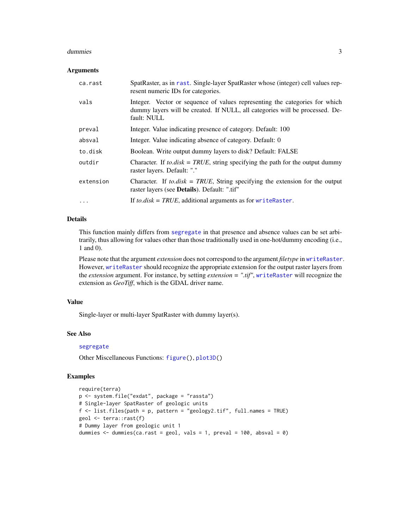#### <span id="page-2-0"></span>dummies 3

#### **Arguments**

| ca.rast   | SpatRaster, as in rast. Single-layer SpatRaster whose (integer) cell values rep-<br>resent numeric IDs for categories.                                                     |
|-----------|----------------------------------------------------------------------------------------------------------------------------------------------------------------------------|
| vals      | Integer. Vector or sequence of values representing the categories for which<br>dummy layers will be created. If NULL, all categories will be processed. De-<br>fault: NULL |
| preval    | Integer. Value indicating presence of category. Default: 100                                                                                                               |
| absval    | Integer. Value indicating absence of category. Default: 0                                                                                                                  |
| to.disk   | Boolean. Write output dummy layers to disk? Default: FALSE                                                                                                                 |
| outdir    | Character. If to disk = TRUE, string specifying the path for the output dummy<br>raster layers. Default: "."                                                               |
| extension | Character. If to disk = TRUE, String specifying the extension for the output<br>raster layers (see <b>Details</b> ). Default: ".tif"                                       |
| $\ddotsc$ | If to.disk = TRUE, additional arguments as for writeRaster.                                                                                                                |

#### Details

This function mainly differs from [segregate](#page-0-0) in that presence and absence values can be set arbitrarily, thus allowing for values other than those traditionally used in one-hot/dummy encoding (i.e., 1 and 0).

Please note that the argument *extension* does not correspond to the argument *filetype* in [writeRaster](#page-0-0). However, [writeRaster](#page-0-0) should recognize the appropriate extension for the output raster layers from the *extension* argument. For instance, by setting *extension = ".tif"*, [writeRaster](#page-0-0) will recognize the extension as *GeoTiff*, which is the GDAL driver name.

#### Value

Single-layer or multi-layer SpatRaster with dummy layer(s).

#### See Also

#### [segregate](#page-0-0)

Other Miscellaneous Functions: [figure\(](#page-6-1)), [plot3D\(](#page-12-1))

```
require(terra)
p <- system.file("exdat", package = "rassta")
# Single-layer SpatRaster of geologic units
f <- list.files(path = p, pattern = "geology2.tif", full.names = TRUE)
geol <- terra::rast(f)
# Dummy layer from geologic unit 1
dummies \le dummies(ca.rast = geol, vals = 1, preval = 100, absval = 0)
```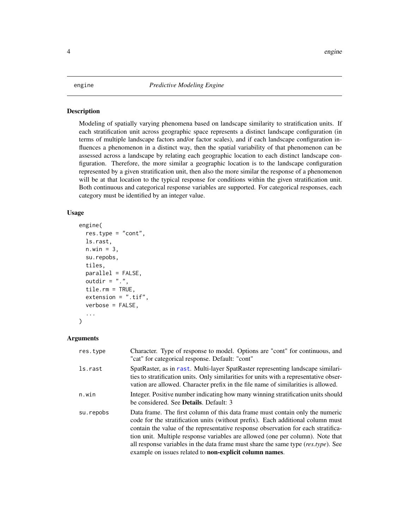#### <span id="page-3-0"></span>**Description**

Modeling of spatially varying phenomena based on landscape similarity to stratification units. If each stratification unit across geographic space represents a distinct landscape configuration (in terms of multiple landscape factors and/or factor scales), and if each landscape configuration influences a phenomenon in a distinct way, then the spatial variability of that phenomenon can be assessed across a landscape by relating each geographic location to each distinct landscape configuration. Therefore, the more similar a geographic location is to the landscape configuration represented by a given stratification unit, then also the more similar the response of a phenomenon will be at that location to the typical response for conditions within the given stratification unit. Both continuous and categorical response variables are supported. For categorical responses, each category must be identified by an integer value.

#### Usage

```
engine(
  res.type = "cont",
  ls.rast,
 n.win = 3,
  su.repobs,
  tiles,
 parallel = FALSE,
 outdir = ".".tile.rm = TRUE,
  extension = ".tif",
  verbose = FALSE,
  ...
)
```

| res.type  | Character. Type of response to model. Options are "cont" for continuous, and<br>"cat" for categorical response. Default: "cont"                                                                                                                                                                                                                                                                                                                                                            |
|-----------|--------------------------------------------------------------------------------------------------------------------------------------------------------------------------------------------------------------------------------------------------------------------------------------------------------------------------------------------------------------------------------------------------------------------------------------------------------------------------------------------|
| ls.rast   | SpatRaster, as in rast. Multi-layer SpatRaster representing landscape similari-<br>ties to stratification units. Only similarities for units with a representative obser-<br>vation are allowed. Character prefix in the file name of similarities is allowed.                                                                                                                                                                                                                             |
| n.win     | Integer. Positive number indicating how many winning stratification units should<br>be considered. See Details. Default: 3                                                                                                                                                                                                                                                                                                                                                                 |
| su.repobs | Data frame. The first column of this data frame must contain only the numeric<br>code for the stratification units (without prefix). Each additional column must<br>contain the value of the representative response observation for each stratifica-<br>tion unit. Multiple response variables are allowed (one per column). Note that<br>all response variables in the data frame must share the same type $(res.type)$ . See<br>example on issues related to non-explicit column names. |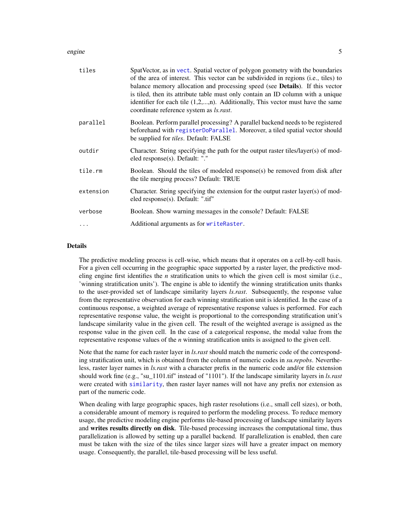#### <span id="page-4-0"></span>engine 5

| tiles      | SpatVector, as in vect. Spatial vector of polygon geometry with the boundaries<br>of the area of interest. This vector can be subdivided in regions (i.e., tiles) to<br>balance memory allocation and processing speed (see <b>Details</b> ). If this vector<br>is tiled, then its attribute table must only contain an ID column with a unique<br>identifier for each tile $(1,2,,n)$ . Additionally, This vector must have the same<br>coordinate reference system as <i>ls.rast</i> . |
|------------|------------------------------------------------------------------------------------------------------------------------------------------------------------------------------------------------------------------------------------------------------------------------------------------------------------------------------------------------------------------------------------------------------------------------------------------------------------------------------------------|
| parallel   | Boolean. Perform parallel processing? A parallel backend needs to be registered<br>beforehand with registerDoParallel. Moreover, a tiled spatial vector should<br>be supplied for <i>tiles</i> . Default: FALSE                                                                                                                                                                                                                                                                          |
| outdir     | Character. String specifying the path for the output raster tiles/layer(s) of mod-<br>eled response(s). Default: "."                                                                                                                                                                                                                                                                                                                                                                     |
| tile.rm    | Boolean. Should the tiles of modeled response(s) be removed from disk after<br>the tile merging process? Default: TRUE                                                                                                                                                                                                                                                                                                                                                                   |
| extension  | Character. String specifying the extension for the output raster layer(s) of mod-<br>eled response(s). Default: ".tif"                                                                                                                                                                                                                                                                                                                                                                   |
| verbose    | Boolean. Show warning messages in the console? Default: FALSE                                                                                                                                                                                                                                                                                                                                                                                                                            |
| $\ddots$ . | Additional arguments as for writeRaster.                                                                                                                                                                                                                                                                                                                                                                                                                                                 |

#### **Details**

The predictive modeling process is cell-wise, which means that it operates on a cell-by-cell basis. For a given cell occurring in the geographic space supported by a raster layer, the predictive modeling engine first identifies the *n* stratification units to which the given cell is most similar (i.e., 'winning stratification units'). The engine is able to identify the winning stratification units thanks to the user-provided set of landscape similarity layers *ls.rast*. Subsequently, the response value from the representative observation for each winning stratification unit is identified. In the case of a continuous response, a weighted average of representative response values is performed. For each representative response value, the weight is proportional to the corresponding stratification unit's landscape similarity value in the given cell. The result of the weighted average is assigned as the response value in the given cell. In the case of a categorical response, the modal value from the representative response values of the *n* winning stratification units is assigned to the given cell.

Note that the name for each raster layer in *ls.rast* should match the numeric code of the corresponding stratification unit, which is obtained from the column of numeric codes in *su.repobs*. Nevertheless, raster layer names in *ls.rast* with a character prefix in the numeric code and/or file extension should work fine (e.g., "su\_1101.tif" instead of "1101"). If the landscape similarity layers in *ls.rast* were created with [similarity](#page-21-1), then raster layer names will not have any prefix nor extension as part of the numeric code.

When dealing with large geographic spaces, high raster resolutions (i.e., small cell sizes), or both, a considerable amount of memory is required to perform the modeling process. To reduce memory usage, the predictive modeling engine performs tile-based processing of landscape similarity layers and writes results directly on disk. Tile-based processing increases the computational time, thus parallelization is allowed by setting up a parallel backend. If parallelization is enabled, then care must be taken with the size of the tiles since larger sizes will have a greater impact on memory usage. Consequently, the parallel, tile-based processing will be less useful.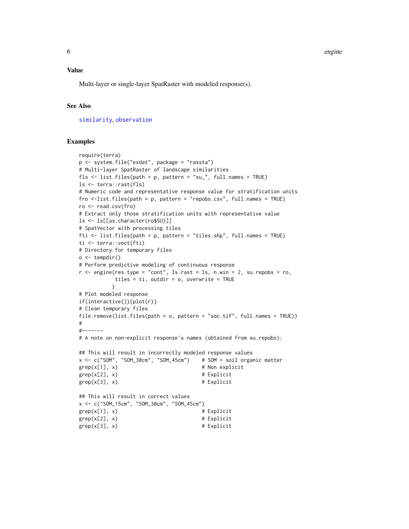#### <span id="page-5-0"></span>Value

Multi-layer or single-layer SpatRaster with modeled response(s).

#### See Also

[similarity](#page-21-1), [observation](#page-10-1)

```
require(terra)
p <- system.file("exdat", package = "rassta")
# Multi-layer SpatRaster of landscape similarities
fls <- list.files(path = p, pattern = "su_", full.names = TRUE)
ls <- terra::rast(fls)
# Numeric code and representative response value for stratification units
fro <-list.files(path = p, pattern = "repobs.csv", full.names = TRUE)
ro <- read.csv(fro)
# Extract only those stratification units with representative value
ls <- ls[[as.character(ro$SU)]]
# SpatVector with processing tiles
fti <- list.files(path = p, pattern = "tiles.shp", full.names = TRUE)
ti <- terra::vect(fti)
# Directory for temporary files
o \leftarrow tempdir()# Perform predictive modeling of continuous response
r <- engine(res.type = "cont", ls.rast = ls, n.win = 2, su.repobs = ro,
           tiles = ti, outdir = o, overwrite = TRUE
          \mathcal{L}# Plot modeled response
if(interactive()){plot(r)}
# Clean temporary files
file.remove(list.files(path = o, pattern = "soc.tif", full.names = TRUE))
#
#-------
# A note on non-explicit response's names (obtained from su.repobs):
## This will result in incorrectly modeled response values
x <- c("SOM", "SOM_30cm", "SOM_45cm") # SOM = soil organic matter
\text{grep}(x[1], x) # Non explicit
\text{grep}(x[2], x) # Explicit
\text{grep}(x[3], x) # Explicit
## This will result in correct values
x <- c("SOM_15cm", "SOM_30cm", "SOM_45cm")
\text{grep}(x[1], x) # Explicit
\text{grep}(x[2], x) # Explicit
\text{grep}(x[3], x) # Explicit
```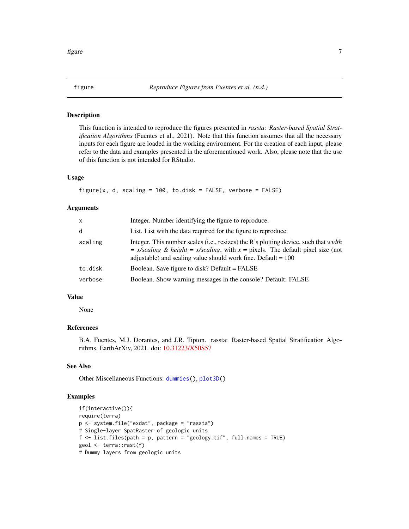<span id="page-6-1"></span><span id="page-6-0"></span>

#### Description

This function is intended to reproduce the figures presented in *rassta: Raster-based Spatial Stratification Algorithms* (Fuentes et al., 2021). Note that this function assumes that all the necessary inputs for each figure are loaded in the working environment. For the creation of each input, please refer to the data and examples presented in the aforementioned work. Also, please note that the use of this function is not intended for RStudio.

#### Usage

```
figure(x, d, scaling = 100, to.disk = FALSE, verbose = FALSE)
```
#### Arguments

| X       | Integer. Number identifying the figure to reproduce.                                                                                                                                                                                                    |
|---------|---------------------------------------------------------------------------------------------------------------------------------------------------------------------------------------------------------------------------------------------------------|
| d       | List. List with the data required for the figure to reproduce.                                                                                                                                                                                          |
| scaling | Integer. This number scales (i.e., resizes) the R's plotting device, such that <i>width</i><br>$= x/scaling \& height = x/scaling$ , with $x = pixels$ . The default pixel size (not<br>adjustable) and scaling value should work fine. Default $= 100$ |
| to.disk | Boolean. Save figure to disk? Default = FALSE                                                                                                                                                                                                           |
| verbose | Boolean. Show warning messages in the console? Default: FALSE                                                                                                                                                                                           |

#### Value

None

#### References

B.A. Fuentes, M.J. Dorantes, and J.R. Tipton. rassta: Raster-based Spatial Stratification Algorithms. EarthArXiv, 2021. doi: [10.31223/X50S57](https://doi.org/10.31223/X50S57)

#### See Also

Other Miscellaneous Functions: [dummies\(](#page-1-1)), [plot3D\(](#page-12-1))

```
if(interactive()){
require(terra)
p <- system.file("exdat", package = "rassta")
# Single-layer SpatRaster of geologic units
f <- list.files(path = p, pattern = "geology.tif", full.names = TRUE)
geol <- terra::rast(f)
# Dummy layers from geologic units
```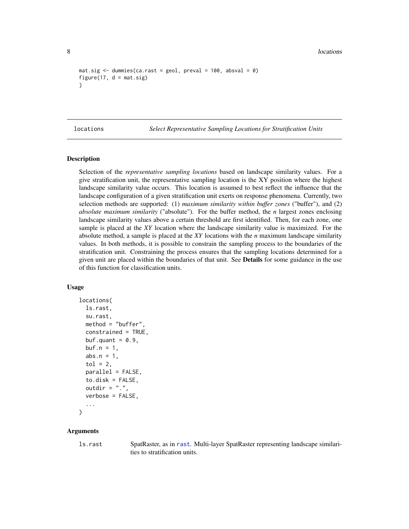```
mat.size \leftarrow dummies(ca.rast = geol, preval = 100, absval = 0)
figure(17, d = mat.size)
}
```
<span id="page-7-1"></span>locations *Select Representative Sampling Locations for Stratification Units*

#### Description

Selection of the *representative sampling locations* based on landscape similarity values. For a give stratification unit, the representative sampling location is the XY position where the highest landscape similarity value occurs. This location is assumed to best reflect the influence that the landscape configuration of a given stratification unit exerts on response phenomena. Currently, two selection methods are supported: (1) *maximum similarity within buffer zones* ("buffer"), and (2) *absolute maximum similarity* ("absolute"). For the buffer method, the *n* largest zones enclosing landscape similarity values above a certain threshold are first identified. Then, for each zone, one sample is placed at the *XY* location where the landscape similarity value is maximized. For the absolute method, a sample is placed at the *XY* locations with the *n* maximum landscape similarity values. In both methods, it is possible to constrain the sampling process to the boundaries of the stratification unit. Constraining the process ensures that the sampling locations determined for a given unit are placed within the boundaries of that unit. See **Details** for some guidance in the use of this function for classification units.

#### Usage

```
locations(
  ls.rast,
  su.rast,
 method = "buffer",
  constrained = TRUE,
  buf.quant = 0.9,
 buf.n = 1,
  abs.n = 1,
  tol = 2,
  parallel = FALSE,
  to.disk = FALSE,outdir = ".".verbose = FALSE,
  ...
)
```
#### Arguments

ls.rast SpatRaster, as in [rast](#page-0-0). Multi-layer SpatRaster representing landscape similarities to stratification units.

<span id="page-7-0"></span>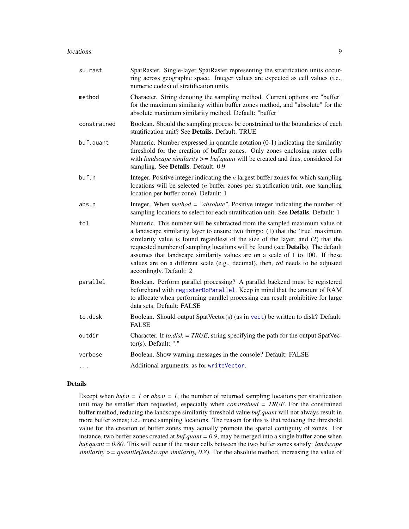#### <span id="page-8-0"></span>locations and the set of the set of the set of the set of the set of the set of the set of the set of the set of the set of the set of the set of the set of the set of the set of the set of the set of the set of the set of

| su.rast     | SpatRaster. Single-layer SpatRaster representing the stratification units occur-<br>ring across geographic space. Integer values are expected as cell values (i.e.,<br>numeric codes) of stratification units.                                                                                                                                                                                                                                                                                                                   |
|-------------|----------------------------------------------------------------------------------------------------------------------------------------------------------------------------------------------------------------------------------------------------------------------------------------------------------------------------------------------------------------------------------------------------------------------------------------------------------------------------------------------------------------------------------|
| method      | Character. String denoting the sampling method. Current options are "buffer"<br>for the maximum similarity within buffer zones method, and "absolute" for the<br>absolute maximum similarity method. Default: "buffer"                                                                                                                                                                                                                                                                                                           |
| constrained | Boolean. Should the sampling process be constrained to the boundaries of each<br>stratification unit? See Details. Default: TRUE                                                                                                                                                                                                                                                                                                                                                                                                 |
| buf.quant   | Numeric. Number expressed in quantile notation $(0-1)$ indicating the similarity<br>threshold for the creation of buffer zones. Only zones enclosing raster cells<br>with <i>landscape similarity</i> $>=$ <i>buf.quant</i> will be created and thus, considered for<br>sampling. See Details. Default: 0.9                                                                                                                                                                                                                      |
| buf.n       | Integer. Positive integer indicating the $n$ largest buffer zones for which sampling<br>locations will be selected $(n$ buffer zones per stratification unit, one sampling<br>location per buffer zone). Default: 1                                                                                                                                                                                                                                                                                                              |
| abs.n       | Integer. When $method = "absolute",$ Positive integer indicating the number of<br>sampling locations to select for each stratification unit. See Details. Default: 1                                                                                                                                                                                                                                                                                                                                                             |
| tol         | Numeric. This number will be subtracted from the sampled maximum value of<br>a landscape similarity layer to ensure two things: (1) that the 'true' maximum<br>similarity value is found regardless of the size of the layer, and (2) that the<br>requested number of sampling locations will be found (see Details). The default<br>assumes that landscape similarity values are on a scale of 1 to 100. If these<br>values are on a different scale (e.g., decimal), then, tol needs to be adjusted<br>accordingly. Default: 2 |
| parallel    | Boolean. Perform parallel processing? A parallel backend must be registered<br>beforehand with registerDoParallel. Keep in mind that the amount of RAM<br>to allocate when performing parallel processing can result prohibitive for large<br>data sets. Default: FALSE                                                                                                                                                                                                                                                          |
| to.disk     | Boolean. Should output SpatVector(s) (as in vect) be written to disk? Default:<br><b>FALSE</b>                                                                                                                                                                                                                                                                                                                                                                                                                                   |
| outdir      | Character. If to disk = TRUE, string specifying the path for the output SpatVec-<br>tor(s). Default: "."                                                                                                                                                                                                                                                                                                                                                                                                                         |
| verbose     | Boolean. Show warning messages in the console? Default: FALSE                                                                                                                                                                                                                                                                                                                                                                                                                                                                    |
| $\cdots$    | Additional arguments, as for writeVector.                                                                                                                                                                                                                                                                                                                                                                                                                                                                                        |
|             |                                                                                                                                                                                                                                                                                                                                                                                                                                                                                                                                  |

#### Details

Except when  $buf.n = 1$  or  $abs.n = 1$ , the number of returned sampling locations per stratification unit may be smaller than requested, especially when *constrained = TRUE*. For the constrained buffer method, reducing the landscape similarity threshold value *buf.quant* will not always result in more buffer zones; i.e., more sampling locations. The reason for this is that reducing the threshold value for the creation of buffer zones may actually promote the spatial contiguity of zones. For instance, two buffer zones created at *buf.quant = 0.9*, may be merged into a single buffer zone when *buf.quant = 0.80*. This will occur if the raster cells between the two buffer zones satisfy: *landscape*  $similarity \geq = quantile (land \, \, \mathcal{S} \text{)}$  *similarity, 0.8)*. For the absolute method, increasing the value of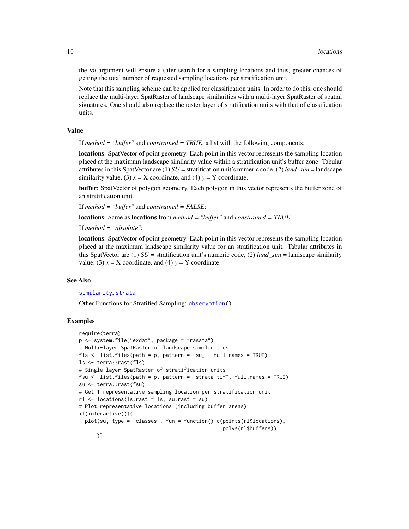the *tol* argument will ensure a safer search for *n* sampling locations and thus, greater chances of getting the total number of requested sampling locations per stratification unit.

Note that this sampling scheme can be applied for classification units. In order to do this, one should replace the multi-layer SpatRaster of landscape similarities with a multi-layer SpatRaster of spatial signatures. One should also replace the raster layer of stratification units with that of classification units.

#### Value

If *method = "buffer"* and *constrained = TRUE*, a list with the following components:

locations: SpatVector of point geometry. Each point in this vector represents the sampling location placed at the maximum landscape similarity value within a stratification unit's buffer zone. Tabular attributes in this SpatVector are  $(1)$  *SU* = stratification unit's numeric code,  $(2)$  *land*  $sim$  = landscape similarity value, (3)  $x = X$  coordinate, and (4)  $y = Y$  coordinate.

buffer: SpatVector of polygon geometry. Each polygon in this vector represents the buffer zone of an stratification unit.

If *method = "buffer"* and *constrained = FALSE*:

locations: Same as locations from *method = "buffer"* and *constrained = TRUE*.

If *method = "absolute"*:

locations: SpatVector of point geometry. Each point in this vector represents the sampling location placed at the maximum landscape similarity value for an stratification unit. Tabular attributes in this SpatVector are (1)  $SU =$  stratification unit's numeric code, (2) *land\_sim* = landscape similarity value, (3)  $x = X$  coordinate, and (4)  $y = Y$  coordinate.

#### See Also

#### [similarity](#page-21-1), [strata](#page-29-1)

Other Functions for Stratified Sampling: [observation\(](#page-10-1))

```
require(terra)
p <- system.file("exdat", package = "rassta")
# Multi-layer SpatRaster of landscape similarities
fls <- list.files(path = p, pattern = "su_", full.names = TRUE)
ls <- terra::rast(fls)
# Single-layer SpatRaster of stratification units
fsu <- list.files(path = p, pattern = "strata.tif", full.names = TRUE)
su <- terra::rast(fsu)
# Get 1 representative sampling location per stratification unit
rl <- locations(ls.rast = ls, su.rast = su)
# Plot representative locations (including buffer areas)
if(interactive()){
 plot(su, type = "classes", fun = function() c(points(rl$locations),
                                                polys(rl$buffers))
     )}
```
<span id="page-9-0"></span>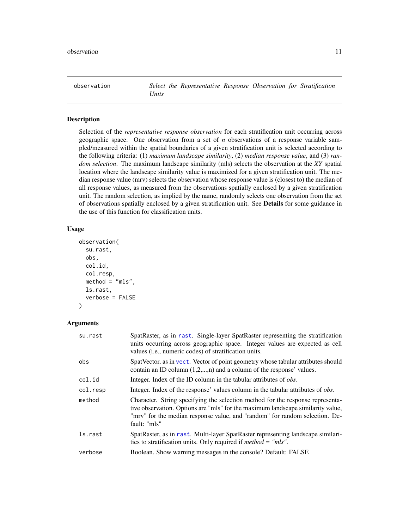<span id="page-10-1"></span><span id="page-10-0"></span>observation *Select the Representative Response Observation for Stratification Units*

#### Description

Selection of the *representative response observation* for each stratification unit occurring across geographic space. One observation from a set of *n* observations of a response variable sampled/measured within the spatial boundaries of a given stratification unit is selected according to the following criteria: (1) *maximum landscape similarity*, (2) *median response value*, and (3) *random selection*. The maximum landscape similarity (mls) selects the observation at the *XY* spatial location where the landscape similarity value is maximized for a given stratification unit. The median response value (mrv) selects the observation whose response value is (closest to) the median of all response values, as measured from the observations spatially enclosed by a given stratification unit. The random selection, as implied by the name, randomly selects one observation from the set of observations spatially enclosed by a given stratification unit. See Details for some guidance in the use of this function for classification units.

#### Usage

```
observation(
  su.rast,
  obs,
  col.id,
  col.resp,
  method = "mls",ls.rast,
  verbose = FALSE
)
```

| su.rast  | SpatRaster, as in rast. Single-layer SpatRaster representing the stratification<br>units occurring across geographic space. Integer values are expected as cell<br>values ( <i>i.e.</i> , numeric codes) of stratification units.                                |
|----------|------------------------------------------------------------------------------------------------------------------------------------------------------------------------------------------------------------------------------------------------------------------|
| obs      | SpatVector, as in vect. Vector of point geometry whose tabular attributes should<br>contain an ID column $(1,2,,n)$ and a column of the response' values.                                                                                                        |
| col.id   | Integer. Index of the ID column in the tabular attributes of <i>obs</i> .                                                                                                                                                                                        |
| col.resp | Integer. Index of the response' values column in the tabular attributes of <i>obs</i> .                                                                                                                                                                          |
| method   | Character. String specifying the selection method for the response representa-<br>tive observation. Options are "mls" for the maximum landscape similarity value,<br>"mrv" for the median response value, and "random" for random selection. De-<br>fault: "mls" |
| ls.rast  | SpatRaster, as in rast. Multi-layer SpatRaster representing landscape similari-<br>ties to stratification units. Only required if <i>method</i> = " $mls$ ".                                                                                                     |
| verbose  | Boolean. Show warning messages in the console? Default: FALSE                                                                                                                                                                                                    |
|          |                                                                                                                                                                                                                                                                  |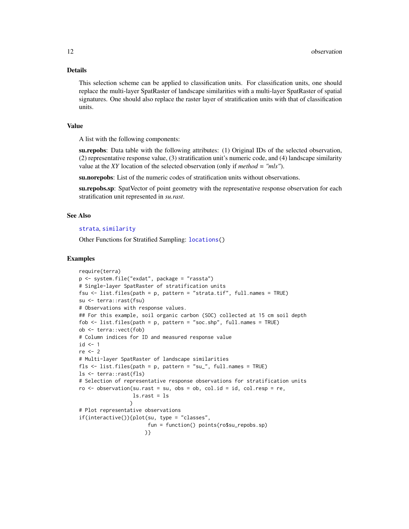#### <span id="page-11-0"></span>Details

This selection scheme can be applied to classification units. For classification units, one should replace the multi-layer SpatRaster of landscape similarities with a multi-layer SpatRaster of spatial signatures. One should also replace the raster layer of stratification units with that of classification units.

#### Value

A list with the following components:

su.repobs: Data table with the following attributes: (1) Original IDs of the selected observation, (2) representative response value, (3) stratification unit's numeric code, and (4) landscape similarity value at the *XY* location of the selected observation (only if *method = "mls"*).

su.norepobs: List of the numeric codes of stratification units without observations.

su.repobs.sp: SpatVector of point geometry with the representative response observation for each stratification unit represented in *su.rast*.

#### See Also

#### [strata](#page-29-1), [similarity](#page-21-1)

Other Functions for Stratified Sampling: [locations\(](#page-7-1))

```
require(terra)
p <- system.file("exdat", package = "rassta")
# Single-layer SpatRaster of stratification units
fsu <- list.files(path = p, pattern = "strata.tif", full.names = TRUE)
su <- terra::rast(fsu)
# Observations with response values.
## For this example, soil organic carbon (SOC) collected at 15 cm soil depth
fob \le list.files(path = p, pattern = "soc.shp", full.names = TRUE)
ob <- terra::vect(fob)
# Column indices for ID and measured response value
id \leq -1re <- 2
# Multi-layer SpatRaster of landscape similarities
fls \le list.files(path = p, pattern = "su_", full.names = TRUE)
ls <- terra::rast(fls)
# Selection of representative response observations for stratification units
ro < - observation(su.rast = su, obs = ob, col.id = id, col.resp = re,
                  ls.rast = ls
                 \lambda# Plot representative observations
if(interactive()){plot(su, type = "classes",
                       fun = function() points(ro$su_repobs.sp)
                      )}
```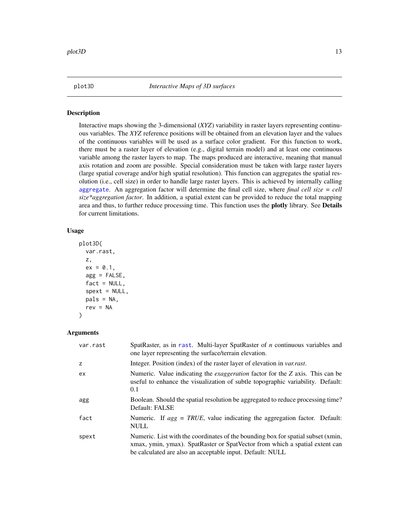<span id="page-12-1"></span><span id="page-12-0"></span>

#### Description

Interactive maps showing the 3-dimensional (*XYZ*) variability in raster layers representing continuous variables. The *XYZ* reference positions will be obtained from an elevation layer and the values of the continuous variables will be used as a surface color gradient. For this function to work, there must be a raster layer of elevation (e.g., digital terrain model) and at least one continuous variable among the raster layers to map. The maps produced are interactive, meaning that manual axis rotation and zoom are possible. Special consideration must be taken with large raster layers (large spatial coverage and/or high spatial resolution). This function can aggregates the spatial resolution (i.e., cell size) in order to handle large raster layers. This is achieved by internally calling [aggregate](#page-0-0). An aggregation factor will determine the final cell size, where *final cell size = cell size\*aggregation factor*. In addition, a spatial extent can be provided to reduce the total mapping area and thus, to further reduce processing time. This function uses the plotly library. See Details for current limitations.

#### Usage

```
plot3D(
  var.rast,
  z,
  ex = 0.1,
  agg = FALSE,
  fact = NULL,spext = NULL,
  pals = NA,
  rev = NA)
```

| var.rast | SpatRaster, as in rast. Multi-layer SpatRaster of $n$ continuous variables and<br>one layer representing the surface/terrain elevation.                                                                                      |
|----------|------------------------------------------------------------------------------------------------------------------------------------------------------------------------------------------------------------------------------|
| z        | Integer. Position (index) of the raster layer of elevation in <i>var.rast.</i>                                                                                                                                               |
| ex       | Numeric. Value indicating the <i>exaggeration</i> factor for the Z axis. This can be<br>useful to enhance the visualization of subtle topographic variability. Default:<br>0.1                                               |
| agg      | Boolean. Should the spatial resolution be aggregated to reduce processing time?<br>Default: FALSE                                                                                                                            |
| fact     | Numeric. If $agg = TRUE$ , value indicating the aggregation factor. Default:<br><b>NULL</b>                                                                                                                                  |
| spext    | Numeric. List with the coordinates of the bounding box for spatial subset (xmin,<br>xmax, ymin, ymax). SpatRaster or SpatVector from which a spatial extent can<br>be calculated are also an acceptable input. Default: NULL |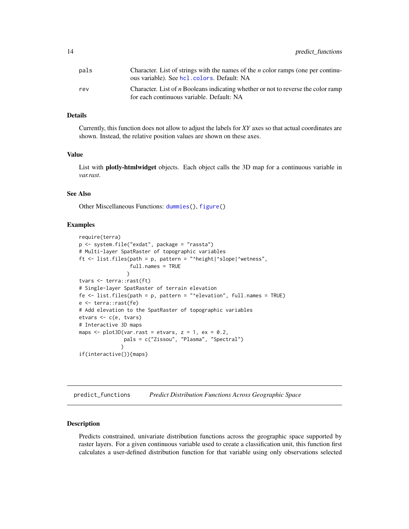<span id="page-13-0"></span>

| pals | Character. List of strings with the names of the <i>n</i> color ramps (one per continu-<br>ous variable). See hcl. colors. Default: NA |
|------|----------------------------------------------------------------------------------------------------------------------------------------|
| rev  | Character. List of <i>n</i> Booleans indicating whether or not to reverse the color ramp<br>for each continuous variable. Default: NA  |

#### Details

Currently, this function does not allow to adjust the labels for *XY* axes so that actual coordinates are shown. Instead, the relative position values are shown on these axes.

#### Value

List with **plotly-htmlwidget** objects. Each object calls the 3D map for a continuous variable in *var.rast*.

#### See Also

Other Miscellaneous Functions: [dummies\(](#page-1-1)), [figure\(](#page-6-1))

#### Examples

```
require(terra)
p <- system.file("exdat", package = "rassta")
# Multi-layer SpatRaster of topographic variables
ft \le list.files(path = p, pattern = "^height|^slope|^wetness",
                 full.names = TRUE
                \lambdatvars <- terra::rast(ft)
# Single-layer SpatRaster of terrain elevation
fe <- list.files(path = p, pattern = "^elevation", full.names = TRUE)
e <- terra::rast(fe)
# Add elevation to the SpatRaster of topographic variables
etvars <- c(e, tvars)
# Interactive 3D maps
maps \leq plot3D(var.rast = etvars, z = 1, ex = 0.2,
               pals = c("Zissou", "Plasma", "Spectral")
              )
if(interactive()){maps}
```
<span id="page-13-1"></span>predict\_functions *Predict Distribution Functions Across Geographic Space*

#### **Description**

Predicts constrained, univariate distribution functions across the geographic space supported by raster layers. For a given continuous variable used to create a classification unit, this function first calculates a user-defined distribution function for that variable using only observations selected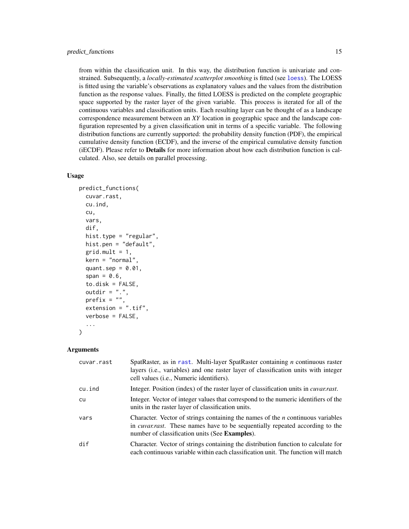<span id="page-14-0"></span>from within the classification unit. In this way, the distribution function is univariate and constrained. Subsequently, a *locally-estimated scatterplot smoothing* is fitted (see [loess](#page-0-0)). The LOESS is fitted using the variable's observations as explanatory values and the values from the distribution function as the response values. Finally, the fitted LOESS is predicted on the complete geographic space supported by the raster layer of the given variable. This process is iterated for all of the continuous variables and classification units. Each resulting layer can be thought of as a landscape correspondence measurement between an *XY* location in geographic space and the landscape configuration represented by a given classification unit in terms of a specific variable. The following distribution functions are currently supported: the probability density function (PDF), the empirical cumulative density function (ECDF), and the inverse of the empirical cumulative density function (iECDF). Please refer to Details for more information about how each distribution function is calculated. Also, see details on parallel processing.

#### Usage

```
predict_functions(
  cuvar.rast,
  cu.ind,
  cu,
  vars,
  dif,
  hist.type = "regular",
  hist.pen = "default",
  grid.mult = 1,kern = "normal",
  quant.sep = 0.01,
  span = 0.6,
  to.disk = FALSE,outdir = ".".prefix = "",extension = ".tif",
  verbose = FALSE,
  ...
)
```

| cuvar.rast | SpatRaster, as in rast. Multi-layer SpatRaster containing <i>n</i> continuous raster<br>layers ( <i>i.e.</i> , variables) and one raster layer of classification units with integer<br>cell values (i.e., Numeric identifiers). |
|------------|---------------------------------------------------------------------------------------------------------------------------------------------------------------------------------------------------------------------------------|
| cu.ind     | Integer. Position (index) of the raster layer of classification units in <i>cuvar.rast.</i>                                                                                                                                     |
| cu         | Integer. Vector of integer values that correspond to the numeric identifiers of the<br>units in the raster layer of classification units.                                                                                       |
| vars       | Character. Vector of strings containing the names of the $n$ continuous variables<br>in <i>cuvar.rast</i> . These names have to be sequentially repeated according to the<br>number of classification units (See Examples).     |
| dif        | Character. Vector of strings containing the distribution function to calculate for<br>each continuous variable within each classification unit. The function will match                                                         |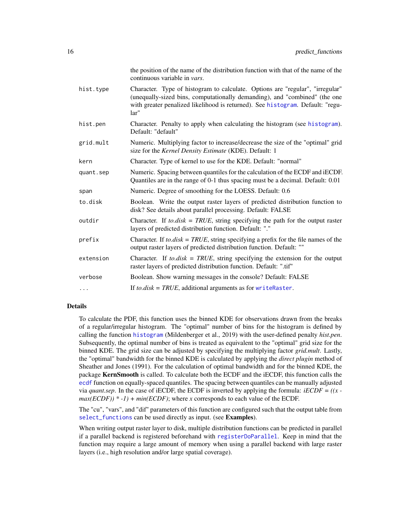<span id="page-15-0"></span>

|           | the position of the name of the distribution function with that of the name of the<br>continuous variable in vars.                                                                                                                                     |
|-----------|--------------------------------------------------------------------------------------------------------------------------------------------------------------------------------------------------------------------------------------------------------|
| hist.type | Character. Type of histogram to calculate. Options are "regular", "irregular"<br>(unequally-sized bins, computationally demanding), and "combined" (the one<br>with greater penalized likelihood is returned). See histogram. Default: "regu-<br>lar'' |
| hist.pen  | Character. Penalty to apply when calculating the histogram (see histogram).<br>Default: "default"                                                                                                                                                      |
| grid.mult | Numeric. Multiplying factor to increase/decrease the size of the "optimal" grid<br>size for the Kernel Density Estimate (KDE). Default: 1                                                                                                              |
| kern      | Character. Type of kernel to use for the KDE. Default: "normal"                                                                                                                                                                                        |
| quant.sep | Numeric. Spacing between quantiles for the calculation of the ECDF and iECDF.<br>Quantiles are in the range of 0-1 thus spacing must be a decimal. Default: 0.01                                                                                       |
| span      | Numeric. Degree of smoothing for the LOESS. Default: 0.6                                                                                                                                                                                               |
| to.disk   | Boolean. Write the output raster layers of predicted distribution function to<br>disk? See details about parallel processing. Default: FALSE                                                                                                           |
| outdir    | Character. If to disk = TRUE, string specifying the path for the output raster<br>layers of predicted distribution function. Default: "."                                                                                                              |
| prefix    | Character. If to disk = TRUE, string specifying a prefix for the file names of the<br>output raster layers of predicted distribution function. Default: ""                                                                                             |
| extension | Character. If to disk = TRUE, string specifying the extension for the output<br>raster layers of predicted distribution function. Default: ".tif"                                                                                                      |
| verbose   | Boolean. Show warning messages in the console? Default: FALSE                                                                                                                                                                                          |
| $\cdots$  | If to $disk = TRUE$ , additional arguments as for writeRaster.                                                                                                                                                                                         |

#### Details

To calculate the PDF, this function uses the binned KDE for observations drawn from the breaks of a regular/irregular histogram. The "optimal" number of bins for the histogram is defined by calling the function [histogram](#page-0-0) (Mildenberger et al., 2019) with the user-defined penalty *hist.pen*. Subsequently, the optimal number of bins is treated as equivalent to the "optimal" grid size for the binned KDE. The grid size can be adjusted by specifying the multiplying factor *grid.mult*. Lastly, the "optimal" bandwidth for the binned KDE is calculated by applying the *direct plugin* method of Sheather and Jones (1991). For the calculation of optimal bandwidth and for the binned KDE, the package KernSmooth is called. To calculate both the ECDF and the iECDF, this function calls the [ecdf](#page-0-0) function on equally-spaced quantiles. The spacing between quantiles can be manually adjusted via *quant.sep*. In the case of iECDF, the ECDF is inverted by applying the formula: *iECDF = ((x*   $max(ECDF)$ ) \* -1) +  $min(ECDF)$ ; where *x* corresponds to each value of the ECDF.

The "cu", "vars", and "dif" parameters of this function are configured such that the output table from [select\\_functions](#page-17-1) can be used directly as input. (see **Examples**).

When writing output raster layer to disk, multiple distribution functions can be predicted in parallel if a parallel backend is registered beforehand with [registerDoParallel](#page-0-0). Keep in mind that the function may require a large amount of memory when using a parallel backend with large raster layers (i.e., high resolution and/or large spatial coverage).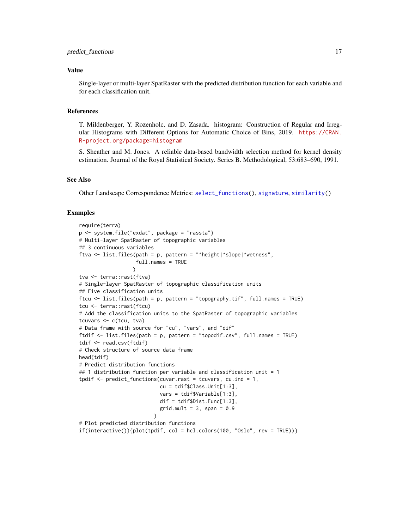#### <span id="page-16-0"></span>Value

Single-layer or multi-layer SpatRaster with the predicted distribution function for each variable and for each classification unit.

#### References

T. Mildenberger, Y. Rozenholc, and D. Zasada. histogram: Construction of Regular and Irregular Histograms with Different Options for Automatic Choice of Bins, 2019. [https://CRAN.](https://CRAN.R-project.org/package=histogram) [R-project.org/package=histogram](https://CRAN.R-project.org/package=histogram)

S. Sheather and M. Jones. A reliable data-based bandwidth selection method for kernel density estimation. Journal of the Royal Statistical Society. Series B. Methodological, 53:683–690, 1991.

#### See Also

Other Landscape Correspondence Metrics: [select\\_functions\(](#page-17-1)), [signature](#page-19-1), [similarity\(](#page-21-1))

```
require(terra)
p <- system.file("exdat", package = "rassta")
# Multi-layer SpatRaster of topographic variables
## 3 continuous variables
ftva <- list.files(path = p, pattern = "^height|^slope|^wetness",
                   full.names = TRUE
                  )
tva <- terra::rast(ftva)
# Single-layer SpatRaster of topographic classification units
## Five classification units
ftcu <- list.files(path = p, pattern = "topography.tif", full.names = TRUE)
tcu <- terra::rast(ftcu)
# Add the classification units to the SpatRaster of topographic variables
tcuvars <- c(tcu, tva)
# Data frame with source for "cu", "vars", and "dif"
ftdif <- list.files(path = p, pattern = "topodif.csv", full.names = TRUE)
tdif <- read.csv(ftdif)
# Check structure of source data frame
head(tdif)
# Predict distribution functions
## 1 distribution function per variable and classification unit = 1
tpdif \leq predict_functions(cuvar.rast = tcuvars, cu.ind = 1,
                           cu = tdif$Class.Unit[1:3],
                           vars = tdif$Variable[1:3],
                           dif = tdif$Dist.Func[1:3],
                           grid.mult = 3, span = 0.9)
# Plot predicted distribution functions
if(interactive())\{plot(tpdf, col = hcl.close(100, 'Oslo', rev = TRUE))\}
```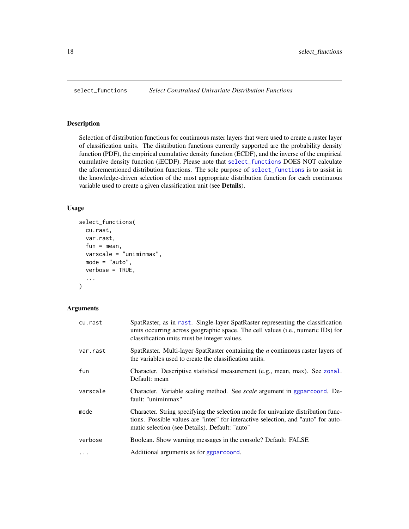#### Description

Selection of distribution functions for continuous raster layers that were used to create a raster layer of classification units. The distribution functions currently supported are the probability density function (PDF), the empirical cumulative density function (ECDF), and the inverse of the empirical cumulative density function (iECDF). Please note that [select\\_functions](#page-17-1) DOES NOT calculate the aforementioned distribution functions. The sole purpose of [select\\_functions](#page-17-1) is to assist in the knowledge-driven selection of the most appropriate distribution function for each continuous variable used to create a given classification unit (see Details).

#### Usage

```
select_functions(
  cu.rast,
  var.rast,
  fun = mean,varscale = "uniminmax",
 mode = "auto",verbose = TRUE,
  ...
\mathcal{E}
```

| cu.rast  | SpatRaster, as in rast. Single-layer SpatRaster representing the classification<br>units occurring across geographic space. The cell values (i.e., numeric IDs) for<br>classification units must be integer values.       |
|----------|---------------------------------------------------------------------------------------------------------------------------------------------------------------------------------------------------------------------------|
| var.rast | SpatRaster. Multi-layer SpatRaster containing the $n$ continuous raster layers of<br>the variables used to create the classification units.                                                                               |
| fun      | Character. Descriptive statistical measurement (e.g., mean, max). See zonal.<br>Default: mean                                                                                                                             |
| varscale | Character. Variable scaling method. See <i>scale</i> argument in ggparcoord. De-<br>fault: "uniminmax"                                                                                                                    |
| mode     | Character. String specifying the selection mode for univariate distribution func-<br>tions. Possible values are "inter" for interactive selection, and "auto" for auto-<br>matic selection (see Details). Default: "auto" |
| verbose  | Boolean. Show warning messages in the console? Default: FALSE                                                                                                                                                             |
| $\cdots$ | Additional arguments as for ggparcoord.                                                                                                                                                                                   |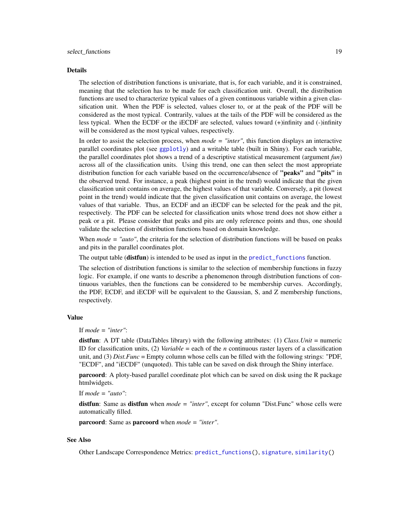#### <span id="page-18-0"></span>Details

The selection of distribution functions is univariate, that is, for each variable, and it is constrained, meaning that the selection has to be made for each classification unit. Overall, the distribution functions are used to characterize typical values of a given continuous variable within a given classification unit. When the PDF is selected, values closer to, or at the peak of the PDF will be considered as the most typical. Contrarily, values at the tails of the PDF will be considered as the less typical. When the ECDF or the iECDF are selected, values toward (+)infinity and (-)infinity will be considered as the most typical values, respectively.

In order to assist the selection process, when *mode = "inter"*, this function displays an interactive parallel coordinates plot (see [ggplotly](#page-0-0)) and a writable table (built in Shiny). For each variable, the parallel coordinates plot shows a trend of a descriptive statistical measurement (argument *fun*) across all of the classification units. Using this trend, one can then select the most appropriate distribution function for each variable based on the occurrence/absence of "peaks" and "pits" in the observed trend. For instance, a peak (highest point in the trend) would indicate that the given classification unit contains on average, the highest values of that variable. Conversely, a pit (lowest point in the trend) would indicate that the given classification unit contains on average, the lowest values of that variable. Thus, an ECDF and an iECDF can be selected for the peak and the pit, respectively. The PDF can be selected for classification units whose trend does not show either a peak or a pit. Please consider that peaks and pits are only reference points and thus, one should validate the selection of distribution functions based on domain knowledge.

When *mode* = "auto", the criteria for the selection of distribution functions will be based on peaks and pits in the parallel coordinates plot.

The output table (**distfun**) is intended to be used as input in the [predict\\_functions](#page-13-1) function.

The selection of distribution functions is similar to the selection of membership functions in fuzzy logic. For example, if one wants to describe a phenomenon through distribution functions of continuous variables, then the functions can be considered to be membership curves. Accordingly, the PDF, ECDF, and iECDF will be equivalent to the Gaussian, S, and Z membership functions, respectively.

#### Value

If *mode = "inter"*:

distfun: A DT table (DataTables library) with the following attributes: (1) *Class.Unit* = numeric ID for classification units, (2) *Variable* = each of the *n* continuous raster layers of a classification unit, and (3) *Dist.Func* = Empty column whose cells can be filled with the following strings: "PDF, "ECDF", and "iECDF" (unquoted). This table can be saved on disk through the Shiny interface.

parcoord: A ploty-based parallel coordinate plot which can be saved on disk using the R package htmlwidgets.

If *mode = "auto"*:

distfun: Same as distfun when *mode = "inter"*, except for column "Dist.Func" whose cells were automatically filled.

parcoord: Same as parcoord when *mode = "inter"*.

#### See Also

Other Landscape Correspondence Metrics: [predict\\_functions\(](#page-13-1)), [signature](#page-19-1), [similarity\(](#page-21-1))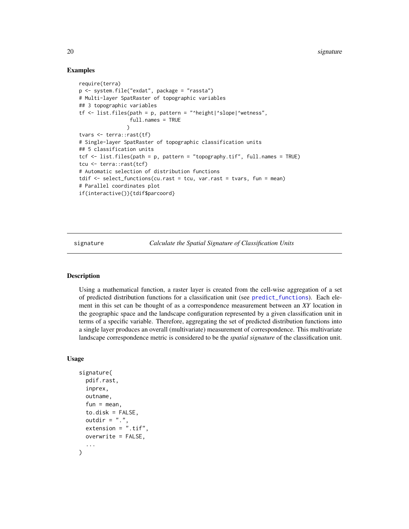#### Examples

```
require(terra)
p <- system.file("exdat", package = "rassta")
# Multi-layer SpatRaster of topographic variables
## 3 topographic variables
tf <- list.files(path = p, pattern = "^height|^slope|^wetness",
                 full.names = TRUE
                )
tvars <- terra::rast(tf)
# Single-layer SpatRaster of topographic classification units
## 5 classification units
tcf <- list.files(path = p, pattern = "topography.tif", full.names = TRUE)
tcu <- terra::rast(tcf)
# Automatic selection of distribution functions
tdif \le select_functions(cu.rast = tcu, var.rast = tvars, fun = mean)
# Parallel coordinates plot
if(interactive()){tdif$parcoord}
```
<span id="page-19-1"></span>signature *Calculate the Spatial Signature of Classification Units*

#### Description

Using a mathematical function, a raster layer is created from the cell-wise aggregation of a set of predicted distribution functions for a classification unit (see [predict\\_functions](#page-13-1)). Each element in this set can be thought of as a correspondence measurement between an *XY* location in the geographic space and the landscape configuration represented by a given classification unit in terms of a specific variable. Therefore, aggregating the set of predicted distribution functions into a single layer produces an overall (multivariate) measurement of correspondence. This multivariate landscape correspondence metric is considered to be the *spatial signature* of the classification unit.

#### Usage

```
signature(
  pdif.rast,
  inprex,
  outname,
  fun = mean,to.disk = FALSE,outdir = ".".extension = ".tif",
 overwrite = FALSE,
  ...
)
```
<span id="page-19-0"></span>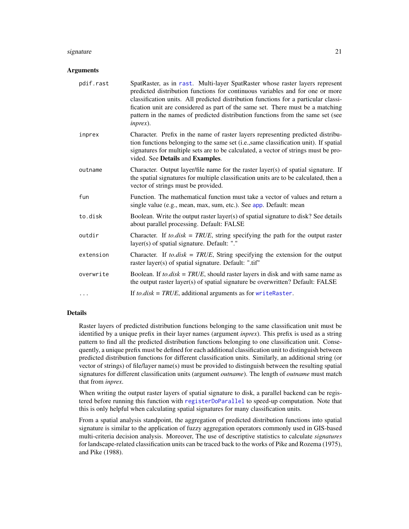#### <span id="page-20-0"></span>signature  $21$

#### Arguments

| pdif.rast | SpatRaster, as in rast. Multi-layer SpatRaster whose raster layers represent<br>predicted distribution functions for continuous variables and for one or more<br>classification units. All predicted distribution functions for a particular classi-<br>fication unit are considered as part of the same set. There must be a matching<br>pattern in the names of predicted distribution functions from the same set (see<br>$inpres$ ). |
|-----------|------------------------------------------------------------------------------------------------------------------------------------------------------------------------------------------------------------------------------------------------------------------------------------------------------------------------------------------------------------------------------------------------------------------------------------------|
| inprex    | Character. Prefix in the name of raster layers representing predicted distribu-<br>tion functions belonging to the same set (i.e., same classification unit). If spatial<br>signatures for multiple sets are to be calculated, a vector of strings must be pro-<br>vided. See Details and Examples.                                                                                                                                      |
| outname   | Character. Output layer/file name for the raster layer(s) of spatial signature. If<br>the spatial signatures for multiple classification units are to be calculated, then a<br>vector of strings must be provided.                                                                                                                                                                                                                       |
| fun       | Function. The mathematical function must take a vector of values and return a<br>single value (e.g., mean, max, sum, etc.). See app. Default: mean                                                                                                                                                                                                                                                                                       |
| to.disk   | Boolean. Write the output raster layer(s) of spatial signature to disk? See details<br>about parallel processing. Default: FALSE                                                                                                                                                                                                                                                                                                         |
| outdir    | Character. If $to.disk = TRUE$ , string specifying the path for the output raster<br>layer(s) of spatial signature. Default: "."                                                                                                                                                                                                                                                                                                         |
| extension | Character. If to disk = TRUE, String specifying the extension for the output<br>raster layer(s) of spatial signature. Default: ".tif"                                                                                                                                                                                                                                                                                                    |
| overwrite | Boolean. If <i>to.disk</i> = $TRUE$ , should raster layers in disk and with same name as<br>the output raster layer(s) of spatial signature be overwritten? Default: FALSE                                                                                                                                                                                                                                                               |
| $\cdots$  | If to $disk = TRUE$ , additional arguments as for writeRaster.                                                                                                                                                                                                                                                                                                                                                                           |

#### Details

Raster layers of predicted distribution functions belonging to the same classification unit must be identified by a unique prefix in their layer names (argument *inprex*). This prefix is used as a string pattern to find all the predicted distribution functions belonging to one classification unit. Consequently, a unique prefix must be defined for each additional classification unit to distinguish between predicted distribution functions for different classification units. Similarly, an additional string (or vector of strings) of file/layer name(s) must be provided to distinguish between the resulting spatial signatures for different classification units (argument *outname*). The length of *outname* must match that from *inprex*.

When writing the output raster layers of spatial signature to disk, a parallel backend can be registered before running this function with [registerDoParallel](#page-0-0) to speed-up computation. Note that this is only helpful when calculating spatial signatures for many classification units.

From a spatial analysis standpoint, the aggregation of predicted distribution functions into spatial signature is similar to the application of fuzzy aggregation operators commonly used in GIS-based multi-criteria decision analysis. Moreover, The use of descriptive statistics to calculate *signatures* for landscape-related classification units can be traced back to the works of Pike and Rozema (1975), and Pike (1988).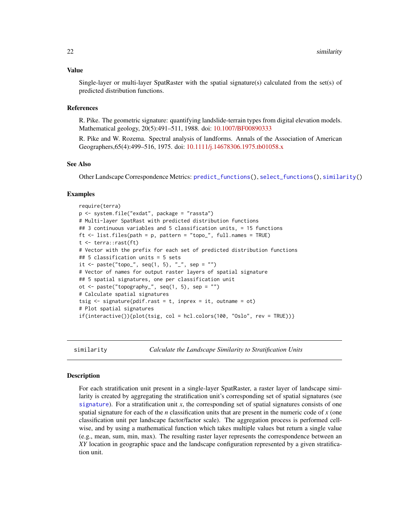#### <span id="page-21-0"></span>Value

Single-layer or multi-layer SpatRaster with the spatial signature(s) calculated from the set(s) of predicted distribution functions.

#### References

R. Pike. The geometric signature: quantifying landslide-terrain types from digital elevation models. Mathematical geology, 20(5):491–511, 1988. doi: [10.1007/BF00890333](https://doi.org/10.1007/BF00890333)

R. Pike and W. Rozema. Spectral analysis of landforms. Annals of the Association of American Geographers,65(4):499–516, 1975. doi: [10.1111/j.14678306.1975.tb01058.x](https://doi.org/10.1111/j.1467-8306.1975.tb01058.x)

#### See Also

Other Landscape Correspondence Metrics: [predict\\_functions\(](#page-13-1)), [select\\_functions\(](#page-17-1)), [similarity\(](#page-21-1))

#### Examples

```
require(terra)
p <- system.file("exdat", package = "rassta")
# Multi-layer SpatRast with predicted distribution functions
## 3 continuous variables and 5 classification units, = 15 functions
ft \le list.files(path = p, pattern = "topo_", full.names = TRUE)
t <- terra::rast(ft)
# Vector with the prefix for each set of predicted distribution functions
## 5 classification units = 5 sets
it <- paste("topo_", seq(1, 5), "_", sep = "")
# Vector of names for output raster layers of spatial signature
## 5 spatial signatures, one per classification unit
ot <- paste("topography_", seq(1, 5), sep = "")
# Calculate spatial signatures
tsig \leq signature(pdif.rast = t, inprex = it, outname = ot)
# Plot spatial signatures
if(interactive()) \{plot(tsig, col = hcl.close(100, "Oslo", rev = TRUE))\}
```
<span id="page-21-1"></span>

similarity *Calculate the Landscape Similarity to Stratification Units*

#### Description

For each stratification unit present in a single-layer SpatRaster, a raster layer of landscape similarity is created by aggregating the stratification unit's corresponding set of spatial signatures (see [signature](#page-19-1)). For a stratification unit *x*, the corresponding set of spatial signatures consists of one spatial signature for each of the *n* classification units that are present in the numeric code of *x* (one classification unit per landscape factor/factor scale). The aggregation process is performed cellwise, and by using a mathematical function which takes multiple values but return a single value (e.g., mean, sum, min, max). The resulting raster layer represents the correspondence between an *XY* location in geographic space and the landscape configuration represented by a given stratification unit.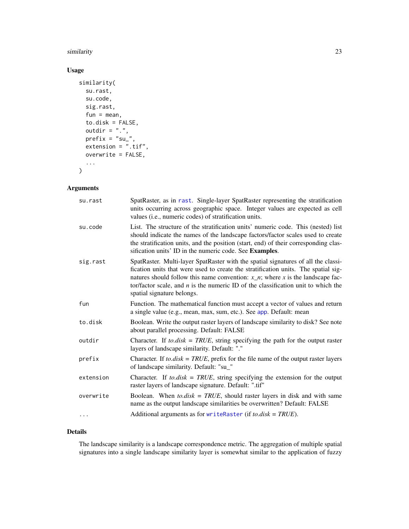#### <span id="page-22-0"></span>similarity 23

#### Usage

```
similarity(
 su.rast,
  su.code,
 sig.rast,
 fun = mean,to.disk = FALSE,outdir = ".',
 prefix = "su",
 extension = ".tif",
 overwrite = FALSE,
  ...
\mathcal{L}
```
## Arguments

| su.rast   | SpatRaster, as in rast. Single-layer SpatRaster representing the stratification<br>units occurring across geographic space. Integer values are expected as cell<br>values (i.e., numeric codes) of stratification units.                                                                                                                                                          |
|-----------|-----------------------------------------------------------------------------------------------------------------------------------------------------------------------------------------------------------------------------------------------------------------------------------------------------------------------------------------------------------------------------------|
| su.code   | List. The structure of the stratification units' numeric code. This (nested) list<br>should indicate the names of the landscape factors/factor scales used to create<br>the stratification units, and the position (start, end) of their corresponding clas-<br>sification units' ID in the numeric code. See Examples.                                                           |
| sig.rast  | SpatRaster. Multi-layer SpatRaster with the spatial signatures of all the classi-<br>fication units that were used to create the stratification units. The spatial sig-<br>natures should follow this name convention: $x_n$ ; where x is the landscape fac-<br>tor/factor scale, and $n$ is the numeric ID of the classification unit to which the<br>spatial signature belongs. |
| fun       | Function. The mathematical function must accept a vector of values and return<br>a single value (e.g., mean, max, sum, etc.). See app. Default: mean                                                                                                                                                                                                                              |
| to.disk   | Boolean. Write the output raster layers of landscape similarity to disk? See note<br>about parallel processing. Default: FALSE                                                                                                                                                                                                                                                    |
| outdir    | Character. If to disk = TRUE, string specifying the path for the output raster<br>layers of landscape similarity. Default: "."                                                                                                                                                                                                                                                    |
| prefix    | Character. If to.disk = $TRUE$ , prefix for the file name of the output raster layers<br>of landscape similarity. Default: "su_"                                                                                                                                                                                                                                                  |
| extension | Character. If to disk = TRUE, string specifying the extension for the output<br>raster layers of landscape signature. Default: ".tif"                                                                                                                                                                                                                                             |
| overwrite | Boolean. When to disk = TRUE, should raster layers in disk and with same<br>name as the output landscape similarities be overwritten? Default: FALSE                                                                                                                                                                                                                              |
| .         | Additional arguments as for write Raster (if to $disk = TRUE$ ).                                                                                                                                                                                                                                                                                                                  |

## Details

The landscape similarity is a landscape correspondence metric. The aggregation of multiple spatial signatures into a single landscape similarity layer is somewhat similar to the application of fuzzy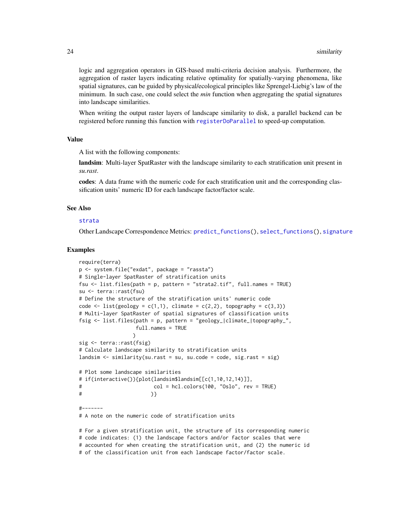<span id="page-23-0"></span>logic and aggregation operators in GIS-based multi-criteria decision analysis. Furthermore, the aggregation of raster layers indicating relative optimality for spatially-varying phenomena, like spatial signatures, can be guided by physical/ecological principles like Sprengel-Liebig's law of the minimum. In such case, one could select the *min* function when aggregating the spatial signatures into landscape similarities.

When writing the output raster layers of landscape similarity to disk, a parallel backend can be registered before running this function with [registerDoParallel](#page-0-0) to speed-up computation.

#### Value

A list with the following components:

landsim: Multi-layer SpatRaster with the landscape similarity to each stratification unit present in *su.rast*.

codes: A data frame with the numeric code for each stratification unit and the corresponding classification units' numeric ID for each landscape factor/factor scale.

#### See Also

#### [strata](#page-29-1)

Other Landscape Correspondence Metrics: [predict\\_functions\(](#page-13-1)), [select\\_functions\(](#page-17-1)), [signature](#page-19-1)

#### Examples

```
require(terra)
p <- system.file("exdat", package = "rassta")
# Single-layer SpatRaster of stratification units
fsu <- list.files(path = p, pattern = "strata2.tif", full.names = TRUE)
su <- terra::rast(fsu)
# Define the structure of the stratification units' numeric code
code \le list(geology = c(1,1), climate = c(2,2), topography = c(3,3))
# Multi-layer SpatRaster of spatial signatures of classification units
fsig <- list.files(path = p, pattern = "geology_|climate_|topography_",
                  full.names = TRUE
                 )
sig <- terra::rast(fsig)
# Calculate landscape similarity to stratification units
landsim \le similarity(su.rast = su, su.code = code, sig.rast = sig)
# Plot some landscape similarities
# if(interactive()){plot(landsim$landsim[[c(1,10,12,14)]],
# col = hcl.colors(100, "Oslo", rev = TRUE)
# )}
#-------
# A note on the numeric code of stratification units
```
# For a given stratification unit, the structure of its corresponding numeric # code indicates: (1) the landscape factors and/or factor scales that were # accounted for when creating the stratification unit, and (2) the numeric id # of the classification unit from each landscape factor/factor scale.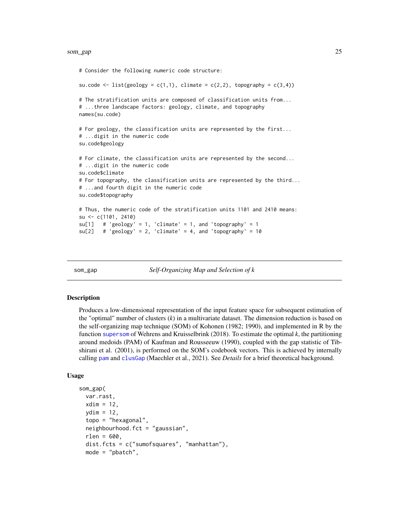#### <span id="page-24-0"></span>som\_gap 25

```
# Consider the following numeric code structure:
su.code <- list(geology = c(1,1), climate = c(2,2), topography = c(3,4))
# The stratification units are composed of classification units from...
# ...three landscape factors: geology, climate, and topography
names(su.code)
# For geology, the classification units are represented by the first...
# ...digit in the numeric code
su.code$geology
# For climate, the classification units are represented by the second...
# ...digit in the numeric code
su.code$climate
# For topography, the classification units are represented by the third...
# ...and fourth digit in the numeric code
su.code$topography
# Thus, the numeric code of the stratification units 1101 and 2410 means:
su <- c(1101, 2410)
su[1] # 'geology' = 1, 'climate' = 1, and 'topography' = 1
su[2] # 'geology' = 2, 'climate' = 4, and 'topography' = 10
```
som\_gap *Self-Organizing Map and Selection of k*

#### **Description**

Produces a low-dimensional representation of the input feature space for subsequent estimation of the "optimal" number of clusters (*k*) in a multivariate dataset. The dimension reduction is based on the self-organizing map technique (SOM) of Kohonen (1982; 1990), and implemented in R by the function [supersom](#page-0-0) of Wehrens and Kruisselbrink (2018). To estimate the optimal *k*, the partitioning around medoids (PAM) of Kaufman and Rousseeuw (1990), coupled with the gap statistic of Tibshirani et al. (2001), is performed on the SOM's codebook vectors. This is achieved by internally calling [pam](#page-0-0) and [clusGap](#page-0-0) (Maechler et al., 2021). See *Details* for a brief theoretical background.

#### Usage

```
som_gap(
  var.rast,
  xdim = 12,
  vdim = 12,
  topo = "hexagonal",
  neighbourhood.fct = "gaussian",
  rlen = 600,
  dist.fcts = c("sumofsquares", "manhattan"),
  mode = "pbatch",
```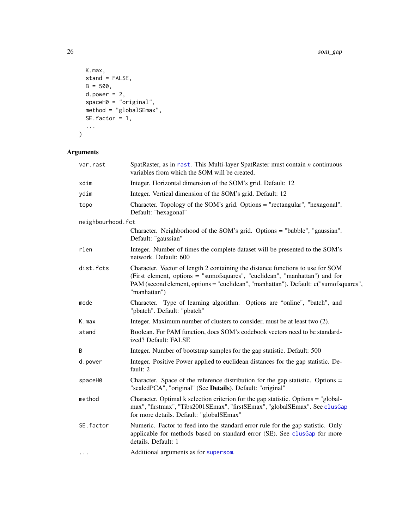```
K.max,
 stand = FALSE,
 B = 500,d. power = 2,spaceH0 = "original",method = "globalSEmax",
 SE.factor = 1,
  ...
\mathcal{L}
```

| var.rast          | SpatRaster, as in rast. This Multi-layer SpatRaster must contain $n$ continuous<br>variables from which the SOM will be created.                                                                                                                                      |
|-------------------|-----------------------------------------------------------------------------------------------------------------------------------------------------------------------------------------------------------------------------------------------------------------------|
| xdim              | Integer. Horizontal dimension of the SOM's grid. Default: 12                                                                                                                                                                                                          |
| ydim              | Integer. Vertical dimension of the SOM's grid. Default: 12                                                                                                                                                                                                            |
| topo              | Character. Topology of the SOM's grid. Options = "rectangular", "hexagonal".<br>Default: "hexagonal"                                                                                                                                                                  |
| neighbourhood.fct |                                                                                                                                                                                                                                                                       |
|                   | Character. Neighborhood of the SOM's grid. Options = "bubble", "gaussian".<br>Default: "gaussian"                                                                                                                                                                     |
| rlen              | Integer. Number of times the complete dataset will be presented to the SOM's<br>network. Default: 600                                                                                                                                                                 |
| dist.fcts         | Character. Vector of length 2 containing the distance functions to use for SOM<br>(First element, options = "sumofsquares", "euclidean", "manhattan") and for<br>PAM (second element, options = "euclidean", "manhattan"). Default: c("sumofsquares",<br>"manhattan") |
| mode              | Character. Type of learning algorithm. Options are "online", "batch", and<br>"pbatch". Default: "pbatch"                                                                                                                                                              |
| K.max             | Integer. Maximum number of clusters to consider, must be at least two (2).                                                                                                                                                                                            |
| stand             | Boolean. For PAM function, does SOM's codebook vectors need to be standard-<br>ized? Default: FALSE                                                                                                                                                                   |
| B                 | Integer. Number of bootstrap samples for the gap statistic. Default: 500                                                                                                                                                                                              |
| d.power           | Integer. Positive Power applied to euclidean distances for the gap statistic. De-<br>fault: 2                                                                                                                                                                         |
| spaceH0           | Character. Space of the reference distribution for the gap statistic. Options $=$<br>"scaledPCA", "original" (See Details). Default: "original"                                                                                                                       |
| method            | Character. Optimal k selection criterion for the gap statistic. Options = "global-<br>max", "firstmax", "Tibs2001SEmax", "firstSEmax", "globalSEmax". See clusGap<br>for more details. Default: "globalSEmax"                                                         |
| SE.factor         | Numeric. Factor to feed into the standard error rule for the gap statistic. Only<br>applicable for methods based on standard error (SE). See clusGap for more<br>details. Default: 1                                                                                  |
| $\cdots$          | Additional arguments as for supersom.                                                                                                                                                                                                                                 |

<span id="page-25-0"></span>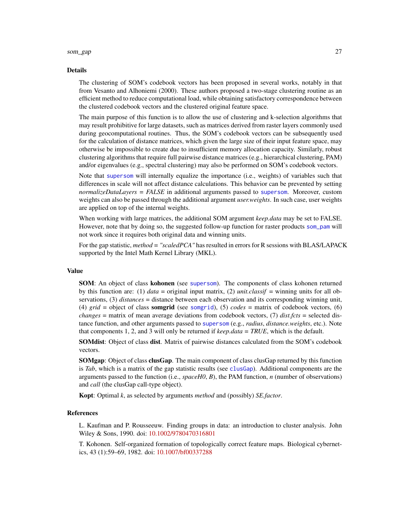#### <span id="page-26-0"></span>som\_gap 27

#### Details

The clustering of SOM's codebook vectors has been proposed in several works, notably in that from Vesanto and Alhoniemi (2000). These authors proposed a two-stage clustering routine as an efficient method to reduce computational load, while obtaining satisfactory correspondence between the clustered codebook vectors and the clustered original feature space.

The main purpose of this function is to allow the use of clustering and k-selection algorithms that may result prohibitive for large datasets, such as matrices derived from raster layers commonly used during geocomputational routines. Thus, the SOM's codebook vectors can be subsequently used for the calculation of distance matrices, which given the large size of their input feature space, may otherwise be impossible to create due to insufficient memory allocation capacity. Similarly, robust clustering algorithms that require full pairwise distance matrices (e.g., hierarchical clustering, PAM) and/or eigenvalues (e.g., spectral clustering) may also be performed on SOM's codebook vectors.

Note that [supersom](#page-0-0) will internally equalize the importance (i.e., weights) of variables such that differences in scale will not affect distance calculations. This behavior can be prevented by setting *normalizeDataLayers = FALSE* in additional arguments passed to [supersom](#page-0-0). Moreover, custom weights can also be passed through the additional argument *user.weights*. In such case, user weights are applied on top of the internal weights.

When working with large matrices, the additional SOM argument *keep.data* may be set to FALSE. However, note that by doing so, the suggested follow-up function for raster products [som\\_pam](#page-27-1) will not work since it requires both original data and winning units.

For the gap statistic, *method = "scaledPCA"* has resulted in errors for R sessions with BLAS/LAPACK supported by the Intel Math Kernel Library (MKL).

#### Value

SOM: An object of class kohonen (see [supersom](#page-0-0)). The components of class kohonen returned by this function are: (1) *data* = original input matrix, (2) *unit.classif* = winning units for all observations, (3) *distances* = distance between each observation and its corresponding winning unit, (4) *grid* = object of class somgrid (see [somgrid](#page-0-0)), (5) *codes* = matrix of codebook vectors, (6) *changes* = matrix of mean average deviations from codebook vectors, (7) *dist.fcts* = selected distance function, and other arguments passed to [supersom](#page-0-0) (e.g., *radius*, *distance.weights*, etc.). Note that components 1, 2, and 3 will only be returned if *keep.data = TRUE*, which is the default.

SOMdist: Object of class dist. Matrix of pairwise distances calculated from the SOM's codebook vectors.

**SOMgap:** Object of class **clusGap**. The main component of class clusGap returned by this function is *Tab*, which is a matrix of the gap statistic results (see [clusGap](#page-0-0)). Additional components are the arguments passed to the function (i.e., *spaceH0*, *B*), the PAM function, *n* (number of observations) and *call* (the clusGap call-type object).

Kopt: Optimal *k*, as selected by arguments *method* and (possibly) *SE.factor*.

#### References

L. Kaufman and P. Rousseeuw. Finding groups in data: an introduction to cluster analysis. John Wiley & Sons, 1990. doi: [10.1002/9780470316801](https://doi.org/10.1002/9780470316801)

T. Kohonen. Self-organized formation of topologically correct feature maps. Biological cybernetics, 43 (1):59–69, 1982. doi: [10.1007/bf00337288](https://doi.org/10.1007/bf00337288)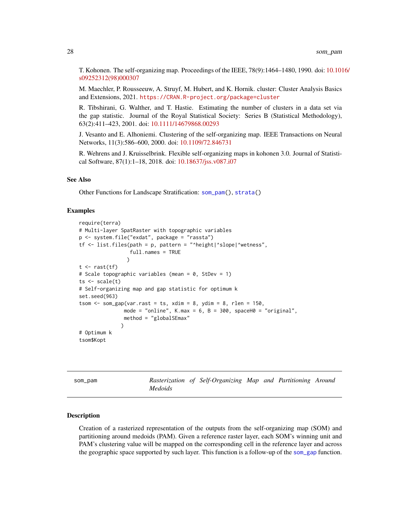<span id="page-27-0"></span>T. Kohonen. The self-organizing map. Proceedings of the IEEE, 78(9):1464–1480, 1990. doi: [10.101](https://doi.org/10.1016/s0925-2312(98)00030-7)6/ [s09252312\(98\)000307](https://doi.org/10.1016/s0925-2312(98)00030-7)

M. Maechler, P. Rousseeuw, A. Struyf, M. Hubert, and K. Hornik. cluster: Cluster Analysis Basics and Extensions, 2021. <https://CRAN.R-project.org/package=cluster>

R. Tibshirani, G. Walther, and T. Hastie. Estimating the number of clusters in a data set via the gap statistic. Journal of the Royal Statistical Society: Series B (Statistical Methodology), 63(2):411–423, 2001. doi: [10.1111/14679868.00293](https://doi.org/10.1111/1467-9868.00293)

J. Vesanto and E. Alhoniemi. Clustering of the self-organizing map. IEEE Transactions on Neural Networks, 11(3):586–600, 2000. doi: [10.1109/72.846731](https://doi.org/10.1109/72.846731)

R. Wehrens and J. Kruisselbrink. Flexible self-organizing maps in kohonen 3.0. Journal of Statistical Software, 87(1):1–18, 2018. doi: [10.18637/jss.v087.i07](https://doi.org/10.18637/jss.v087.i07)

#### See Also

Other Functions for Landscape Stratification: [som\\_pam\(](#page-27-1)), [strata\(](#page-29-1))

#### Examples

```
require(terra)
# Multi-layer SpatRaster with topographic variables
p <- system.file("exdat", package = "rassta")
tf \leq list.file(spath = p, pattern = "height|\text{'slope}|\text{'wetness''},full.names = TRUE
                 )
t \leftarrow \text{rast}(tf)# Scale topographic variables (mean = 0, StDev = 1)
ts \leftarrow scale(t)# Self-organizing map and gap statistic for optimum k
set.seed(963)
tsom \leq som_gap(var.rast = ts, xdim = 8, ydim = 8, rlen = 150,
                mode = "online", K.max = 6, B = 300, spaceH0 = "original",method = "globalSEmax"
               \lambda# Optimum k
tsom$Kopt
```
<span id="page-27-1"></span>som\_pam *Rasterization of Self-Organizing Map and Partitioning Around Medoids*

#### Description

Creation of a rasterized representation of the outputs from the self-organizing map (SOM) and partitioning around medoids (PAM). Given a reference raster layer, each SOM's winning unit and PAM's clustering value will be mapped on the corresponding cell in the reference layer and across the geographic space supported by such layer. This function is a follow-up of the [som\\_gap](#page-24-1) function.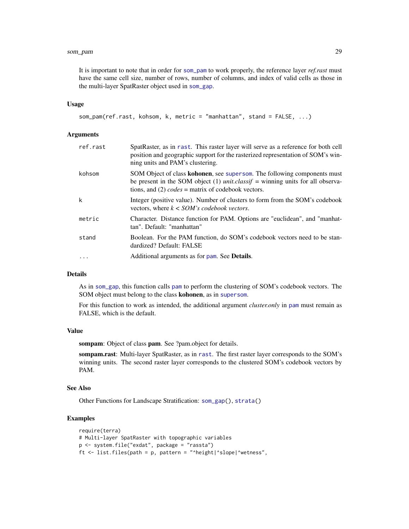#### <span id="page-28-0"></span>som\_pam 29

It is important to note that in order for [som\\_pam](#page-27-1) to work properly, the reference layer *ref.rast* must have the same cell size, number of rows, number of columns, and index of valid cells as those in the multi-layer SpatRaster object used in [som\\_gap](#page-24-1).

#### Usage

```
som_pam(ref.rast, kohsom, k, metric = "manhattan", stand = FALSE, ...)
```
#### Arguments

| ref.rast  | SpatRaster, as in rast. This raster layer will serve as a reference for both cell<br>position and geographic support for the rasterized representation of SOM's win-<br>ning units and PAM's clustering.                          |
|-----------|-----------------------------------------------------------------------------------------------------------------------------------------------------------------------------------------------------------------------------------|
| kohsom    | SOM Object of class <b>kohonen</b> , see supersom. The following components must<br>be present in the SOM object (1) <i>unit.classif</i> = winning units for all observa-<br>tions, and (2) $codes =$ matrix of codebook vectors. |
| k         | Integer (positive value). Number of clusters to form from the SOM's codebook<br>vectors, where $k <$ SOM's codebook vectors.                                                                                                      |
| metric    | Character. Distance function for PAM. Options are "euclidean", and "manhat-<br>tan". Default: "manhattan"                                                                                                                         |
| stand     | Boolean. For the PAM function, do SOM's codebook vectors need to be stan-<br>dardized? Default: FALSE                                                                                                                             |
| $\ddotsc$ | Additional arguments as for pam. See <b>Details</b> .                                                                                                                                                                             |

#### **Details**

As in [som\\_gap](#page-24-1), this function calls [pam](#page-0-0) to perform the clustering of SOM's codebook vectors. The SOM object must belong to the class kohonen, as in [supersom](#page-0-0).

For this function to work as intended, the additional argument *cluster.only* in [pam](#page-0-0) must remain as FALSE, which is the default.

#### Value

sompam: Object of class pam. See ?pam.object for details.

sompam.rast: Multi-layer SpatRaster, as in [rast](#page-0-0). The first raster layer corresponds to the SOM's winning units. The second raster layer corresponds to the clustered SOM's codebook vectors by PAM.

#### See Also

Other Functions for Landscape Stratification: [som\\_gap\(](#page-24-1)), [strata\(](#page-29-1))

```
require(terra)
# Multi-layer SpatRaster with topographic variables
p <- system.file("exdat", package = "rassta")
ft \le list.files(path = p, pattern = "^height|^slope|^wetness",
```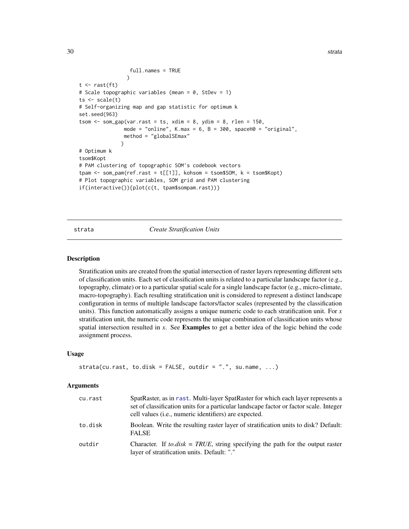<span id="page-29-0"></span>30 strata

```
full.names = TRUE
                 )
t \leftarrow \text{rast}(\text{ft})# Scale topographic variables (mean = 0, StDev = 1)
ts < - scale(t)# Self-organizing map and gap statistic for optimum k
set.seed(963)
tsom \le som_gap(var.rast = ts, xdim = 8, ydim = 8, rlen = 150,
               mode = "online", K.max = 6, B = 300, spaceH0 = "original",
               method = "globalSEmax"
              )
# Optimum k
tsom$Kopt
# PAM clustering of topographic SOM's codebook vectors
tpam \le som_pam(ref.rast = t[[1]], kohsom = tsom$SOM, k = tsom$Kopt)
# Plot topographic variables, SOM grid and PAM clustering
if(interactive()){plot(c(t, tpam$sompam.rast))}
```
#### <span id="page-29-1"></span>strata *Create Stratification Units*

#### Description

Stratification units are created from the spatial intersection of raster layers representing different sets of classification units. Each set of classification units is related to a particular landscape factor (e.g., topography, climate) or to a particular spatial scale for a single landscape factor (e.g., micro-climate, macro-topography). Each resulting stratification unit is considered to represent a distinct landscape configuration in terms of multiple landscape factors/factor scales (represented by the classification units). This function automatically assigns a unique numeric code to each stratification unit. For *x* stratification unit, the numeric code represents the unique combination of classification units whose spatial intersection resulted in *x*. See Examples to get a better idea of the logic behind the code assignment process.

#### Usage

```
strata(cu.rast, to.disk = FALSE, outdir = ".", su.name, ...)
```

| cu.rast | SpatRaster, as in rast. Multi-layer SpatRaster for which each layer represents a<br>set of classification units for a particular landscape factor or factor scale. Integer<br>cell values <i>(i.e., numeric identifiers)</i> are expected. |
|---------|--------------------------------------------------------------------------------------------------------------------------------------------------------------------------------------------------------------------------------------------|
| to.disk | Boolean. Write the resulting raster layer of stratification units to disk? Default:<br><b>FALSE</b>                                                                                                                                        |
| outdir  | Character. If <i>to.disk</i> = $TRUE$ , string specifying the path for the output raster<br>layer of stratification units. Default: "."                                                                                                    |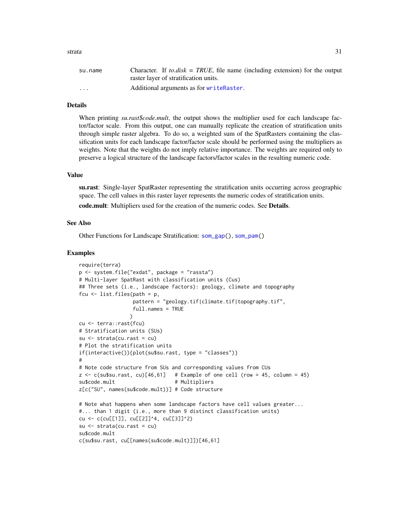#### <span id="page-30-0"></span>strata 31

| su.name                 | Character. If to disk = TRUE, file name (including extension) for the output |
|-------------------------|------------------------------------------------------------------------------|
|                         | raster layer of stratification units.                                        |
| $\cdot$ $\cdot$ $\cdot$ | Additional arguments as for writeRaster.                                     |

#### Details

When printing *su.rast\$code.mult*, the output shows the multiplier used for each landscape factor/factor scale. From this output, one can manually replicate the creation of stratification units through simple raster algebra. To do so, a weighted sum of the SpatRasters containing the classification units for each landscape factor/factor scale should be performed using the multipliers as weights. Note that the weights do not imply relative importance. The weights are required only to preserve a logical structure of the landscape factors/factor scales in the resulting numeric code.

#### Value

su.rast: Single-layer SpatRaster representing the stratification units occurring across geographic space. The cell values in this raster layer represents the numeric codes of stratification units. code.mult: Multipliers used for the creation of the numeric codes. See Details.

#### See Also

Other Functions for Landscape Stratification: [som\\_gap\(](#page-24-1)), [som\\_pam\(](#page-27-1))

```
require(terra)
p <- system.file("exdat", package = "rassta")
# Multi-layer SpatRast with classification units (Cus)
## Three sets (i.e., landscape factors): geology, climate and topography
fcu \le list.files(path = p,
                 pattern = "geology.tif|climate.tif|topography.tif",
                 full.names = TRUE
                \lambdacu <- terra::rast(fcu)
# Stratification units (SUs)
su <- strata(cu.rast = cu)
# Plot the stratification units
if(interactive()){plot(su$su.rast, type = "classes")}
#
# Note code structure from SUs and corresponding values from CUs
z \leq c (su$su.rast, cu)[46,61] # Example of one cell (row = 45, column = 45)
su$code.mult # Multipliers
z[c("SU", names(su$code.mult))] # Code structure
# Note what happens when some landscape factors have cell values greater...
#... than 1 digit (i.e., more than 9 distinct classification units)
cu <- c(cu[[1]], cu[[2]]^4, cu[[3]]^2)
su <- strata(cu.rast = cu)
su$code.mult
c(su$su.rast, cu[[names(su$code.mult)]])[46,61]
```